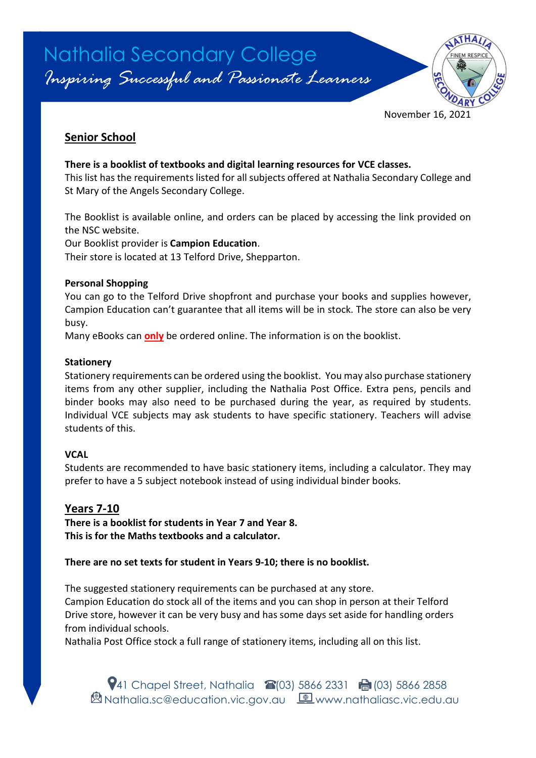

# **Senior School**

### **There is a booklist of textbooks and digital learning resources for VCE classes.**

This list has the requirements listed for all subjects offered at Nathalia Secondary College and St Mary of the Angels Secondary College.

The Booklist is available online, and orders can be placed by accessing the link provided on the NSC website.

Our Booklist provider is **Campion Education**.

Their store is located at 13 Telford Drive, Shepparton.

### **Personal Shopping**

You can go to the Telford Drive shopfront and purchase your books and supplies however, Campion Education can't guarantee that all items will be in stock. The store can also be very busy.

Many eBooks can **only** be ordered online. The information is on the booklist.

### **Stationery**

Stationery requirements can be ordered using the booklist. You may also purchase stationery items from any other supplier, including the Nathalia Post Office. Extra pens, pencils and binder books may also need to be purchased during the year, as required by students. Individual VCE subjects may ask students to have specific stationery. Teachers will advise students of this.

### **VCAL**

Students are recommended to have basic stationery items, including a calculator. They may prefer to have a 5 subject notebook instead of using individual binder books.

### **Years 7-10**

**There is a booklist for students in Year 7 and Year 8. This is for the Maths textbooks and a calculator.**

### **There are no set texts for student in Years 9-10; there is no booklist.**

The suggested stationery requirements can be purchased at any store. Campion Education do stock all of the items and you can shop in person at their Telford Drive store, however it can be very busy and has some days set aside for handling orders from individual schools.

Nathalia Post Office stock a full range of stationery items, including all on this list.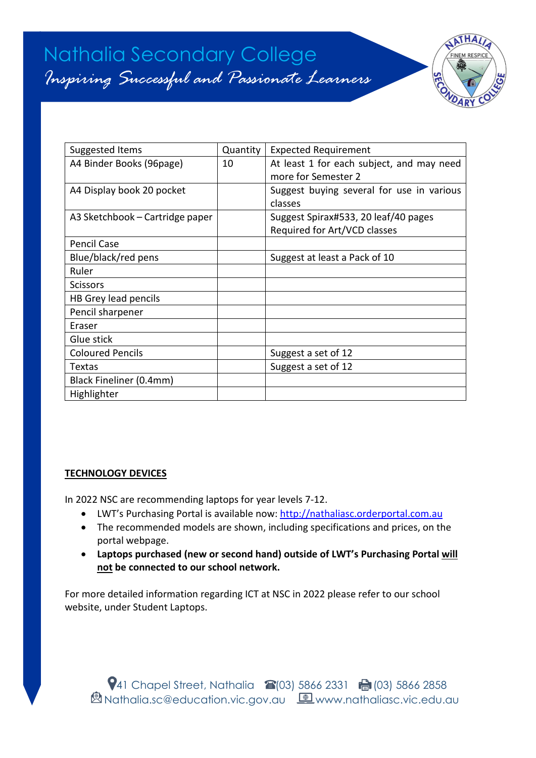# Nathalia Secondary College *Inspiring Successful and Passionate Learners*



| Suggested Items                 | Quantity | <b>Expected Requirement</b>               |
|---------------------------------|----------|-------------------------------------------|
| A4 Binder Books (96page)        | 10       | At least 1 for each subject, and may need |
|                                 |          | more for Semester 2                       |
| A4 Display book 20 pocket       |          | Suggest buying several for use in various |
|                                 |          | classes                                   |
| A3 Sketchbook – Cartridge paper |          | Suggest Spirax#533, 20 leaf/40 pages      |
|                                 |          | Required for Art/VCD classes              |
| <b>Pencil Case</b>              |          |                                           |
| Blue/black/red pens             |          | Suggest at least a Pack of 10             |
| Ruler                           |          |                                           |
| <b>Scissors</b>                 |          |                                           |
| HB Grey lead pencils            |          |                                           |
| Pencil sharpener                |          |                                           |
| Eraser                          |          |                                           |
| Glue stick                      |          |                                           |
| <b>Coloured Pencils</b>         |          | Suggest a set of 12                       |
| Textas                          |          | Suggest a set of 12                       |
| Black Fineliner (0.4mm)         |          |                                           |
| Highlighter                     |          |                                           |

### **TECHNOLOGY DEVICES**

In 2022 NSC are recommending laptops for year levels 7-12.

- LWT's Purchasing Portal is available now: [http://nathaliasc.orderportal.com.au](http://nathaliasc.orderportal.com.au/)
- The recommended models are shown, including specifications and prices, on the portal webpage.
- **Laptops purchased (new or second hand) outside of LWT's Purchasing Portal will not be connected to our school network.**

For more detailed information regarding ICT at NSC in 2022 please refer to our school website, under Student Laptops.